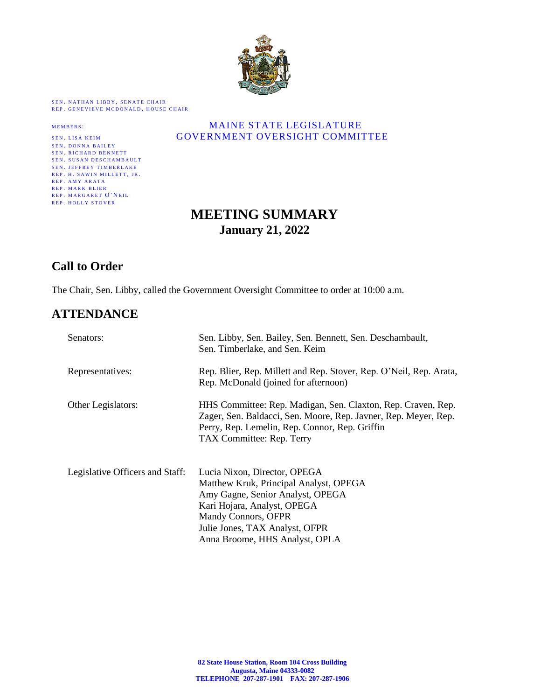

SEN. NATHAN LIBBY, SENATE CHAIR REP. GENEVIEVE MCDONALD, HOUSE CHAIR

| <b>SEN. LISA KEIM</b>          | GOVER |
|--------------------------------|-------|
| <b>SEN. DONNA BAILEY</b>       |       |
| <b>SEN. RICHARD BENNETT</b>    |       |
| <b>SEN. SUSAN DESCHAMBAULT</b> |       |
| <b>SEN. JEFFREY TIMBERLAKE</b> |       |
| REP. H. SAWIN MILLETT, JR.     |       |
| REP. AMY ARATA                 |       |
| <b>REP. MARK BLIER</b>         |       |
| REP. MARGARET O'NEIL           |       |
| <b>REP. HOLLY STOVER</b>       |       |

#### MEMBERS: MAINE STATE LEGISLATURE GOVERNMENT OVERSIGHT COMMITTEE

# **MEETING SUMMARY January 21, 2022**

# **Call to Order**

The Chair, Sen. Libby, called the Government Oversight Committee to order at 10:00 a.m.

# **ATTENDANCE**

| Senators:                       | Sen. Libby, Sen. Bailey, Sen. Bennett, Sen. Deschambault,<br>Sen. Timberlake, and Sen. Keim                                                                                                                                          |
|---------------------------------|--------------------------------------------------------------------------------------------------------------------------------------------------------------------------------------------------------------------------------------|
| Representatives:                | Rep. Blier, Rep. Millett and Rep. Stover, Rep. O'Neil, Rep. Arata,<br>Rep. McDonald (joined for afternoon)                                                                                                                           |
| Other Legislators:              | HHS Committee: Rep. Madigan, Sen. Claxton, Rep. Craven, Rep.<br>Zager, Sen. Baldacci, Sen. Moore, Rep. Javner, Rep. Meyer, Rep.<br>Perry, Rep. Lemelin, Rep. Connor, Rep. Griffin<br>TAX Committee: Rep. Terry                       |
| Legislative Officers and Staff: | Lucia Nixon, Director, OPEGA<br>Matthew Kruk, Principal Analyst, OPEGA<br>Amy Gagne, Senior Analyst, OPEGA<br>Kari Hojara, Analyst, OPEGA<br>Mandy Connors, OFPR<br>Julie Jones, TAX Analyst, OFPR<br>Anna Broome, HHS Analyst, OPLA |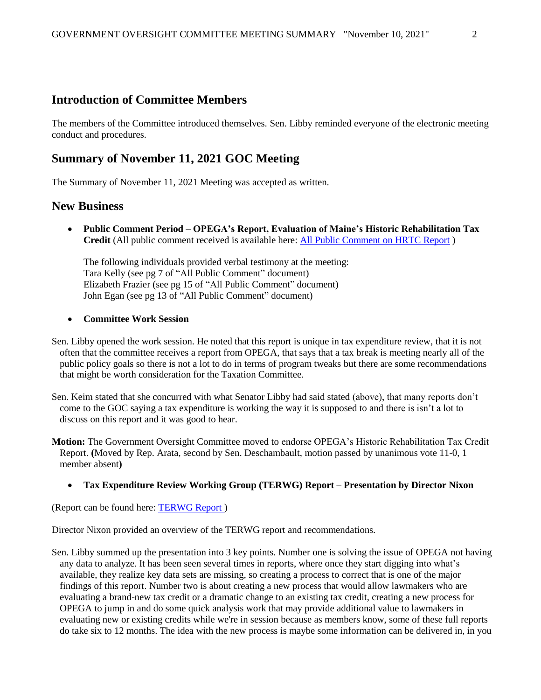### **Introduction of Committee Members**

The members of the Committee introduced themselves. Sen. Libby reminded everyone of the electronic meeting conduct and procedures.

# **Summary of November 11, 2021 GOC Meeting**

The Summary of November 11, 2021 Meeting was accepted as written.

### **New Business**

• **Public Comment Period – OPEGA's Report, Evaluation of Maine's Historic Rehabilitation Tax Credit** (All public comment received is available here: [All Public Comment on HRTC Report](https://legislature.maine.gov/doc/7916) )

The following individuals provided verbal testimony at the meeting: Tara Kelly (see pg 7 of "All Public Comment" document) Elizabeth Frazier (see pg 15 of "All Public Comment" document) John Egan (see pg 13 of "All Public Comment" document)

#### • **Committee Work Session**

Sen. Libby opened the work session. He noted that this report is unique in tax expenditure review, that it is not often that the committee receives a report from OPEGA, that says that a tax break is meeting nearly all of the public policy goals so there is not a lot to do in terms of program tweaks but there are some recommendations that might be worth consideration for the Taxation Committee.

- Sen. Keim stated that she concurred with what Senator Libby had said stated (above), that many reports don't come to the GOC saying a tax expenditure is working the way it is supposed to and there is isn't a lot to discuss on this report and it was good to hear.
- **Motion:** The Government Oversight Committee moved to endorse OPEGA's Historic Rehabilitation Tax Credit Report. **(**Moved by Rep. Arata, second by Sen. Deschambault, motion passed by unanimous vote 11-0, 1 member absent**)**

#### • **Tax Expenditure Review Working Group (TERWG) Report – Presentation by Director Nixon**

(Report can be found here: [TERWG Report \)](https://legislature.maine.gov/doc/7920)

Director Nixon provided an overview of the TERWG report and recommendations.

Sen. Libby summed up the presentation into 3 key points. Number one is solving the issue of OPEGA not having any data to analyze. It has been seen several times in reports, where once they start digging into what's available, they realize key data sets are missing, so creating a process to correct that is one of the major findings of this report. Number two is about creating a new process that would allow lawmakers who are evaluating a brand-new tax credit or a dramatic change to an existing tax credit, creating a new process for OPEGA to jump in and do some quick analysis work that may provide additional value to lawmakers in evaluating new or existing credits while we're in session because as members know, some of these full reports do take six to 12 months. The idea with the new process is maybe some information can be delivered in, in you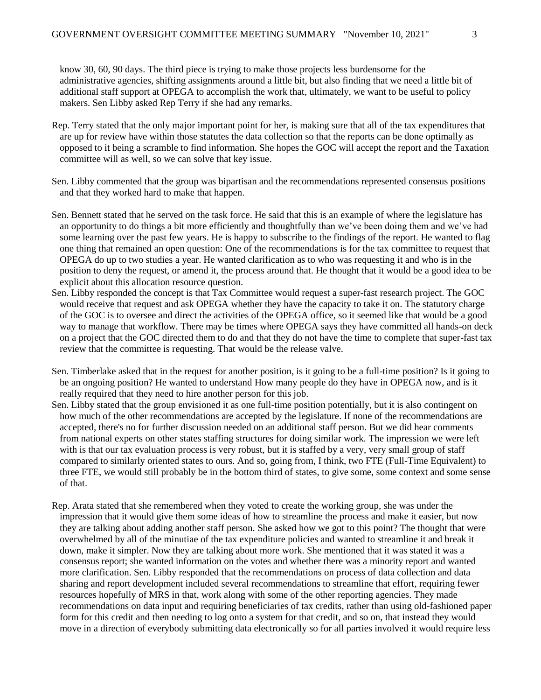know 30, 60, 90 days. The third piece is trying to make those projects less burdensome for the administrative agencies, shifting assignments around a little bit, but also finding that we need a little bit of additional staff support at OPEGA to accomplish the work that, ultimately, we want to be useful to policy makers. Sen Libby asked Rep Terry if she had any remarks.

- Rep. Terry stated that the only major important point for her, is making sure that all of the tax expenditures that are up for review have within those statutes the data collection so that the reports can be done optimally as opposed to it being a scramble to find information. She hopes the GOC will accept the report and the Taxation committee will as well, so we can solve that key issue.
- Sen. Libby commented that the group was bipartisan and the recommendations represented consensus positions and that they worked hard to make that happen.
- Sen. Bennett stated that he served on the task force. He said that this is an example of where the legislature has an opportunity to do things a bit more efficiently and thoughtfully than we've been doing them and we've had some learning over the past few years. He is happy to subscribe to the findings of the report. He wanted to flag one thing that remained an open question: One of the recommendations is for the tax committee to request that OPEGA do up to two studies a year. He wanted clarification as to who was requesting it and who is in the position to deny the request, or amend it, the process around that. He thought that it would be a good idea to be explicit about this allocation resource question.
- Sen. Libby responded the concept is that Tax Committee would request a super-fast research project. The GOC would receive that request and ask OPEGA whether they have the capacity to take it on. The statutory charge of the GOC is to oversee and direct the activities of the OPEGA office, so it seemed like that would be a good way to manage that workflow. There may be times where OPEGA says they have committed all hands-on deck on a project that the GOC directed them to do and that they do not have the time to complete that super-fast tax review that the committee is requesting. That would be the release valve.
- Sen. Timberlake asked that in the request for another position, is it going to be a full-time position? Is it going to be an ongoing position? He wanted to understand How many people do they have in OPEGA now, and is it really required that they need to hire another person for this job.
- Sen. Libby stated that the group envisioned it as one full-time position potentially, but it is also contingent on how much of the other recommendations are accepted by the legislature. If none of the recommendations are accepted, there's no for further discussion needed on an additional staff person. But we did hear comments from national experts on other states staffing structures for doing similar work. The impression we were left with is that our tax evaluation process is very robust, but it is staffed by a very, very small group of staff compared to similarly oriented states to ours. And so, going from, I think, two FTE (Full-Time Equivalent) to three FTE, we would still probably be in the bottom third of states, to give some, some context and some sense of that.
- Rep. Arata stated that she remembered when they voted to create the working group, she was under the impression that it would give them some ideas of how to streamline the process and make it easier, but now they are talking about adding another staff person. She asked how we got to this point? The thought that were overwhelmed by all of the minutiae of the tax expenditure policies and wanted to streamline it and break it down, make it simpler. Now they are talking about more work. She mentioned that it was stated it was a consensus report; she wanted information on the votes and whether there was a minority report and wanted more clarification. Sen. Libby responded that the recommendations on process of data collection and data sharing and report development included several recommendations to streamline that effort, requiring fewer resources hopefully of MRS in that, work along with some of the other reporting agencies. They made recommendations on data input and requiring beneficiaries of tax credits, rather than using old-fashioned paper form for this credit and then needing to log onto a system for that credit, and so on, that instead they would move in a direction of everybody submitting data electronically so for all parties involved it would require less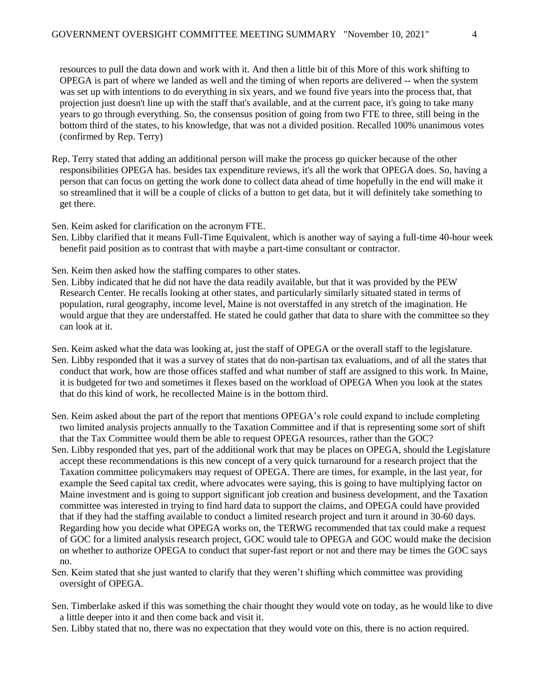resources to pull the data down and work with it. And then a little bit of this More of this work shifting to OPEGA is part of where we landed as well and the timing of when reports are delivered -- when the system was set up with intentions to do everything in six years, and we found five years into the process that, that projection just doesn't line up with the staff that's available, and at the current pace, it's going to take many years to go through everything. So, the consensus position of going from two FTE to three, still being in the bottom third of the states, to his knowledge, that was not a divided position. Recalled 100% unanimous votes (confirmed by Rep. Terry)

Rep. Terry stated that adding an additional person will make the process go quicker because of the other responsibilities OPEGA has. besides tax expenditure reviews, it's all the work that OPEGA does. So, having a person that can focus on getting the work done to collect data ahead of time hopefully in the end will make it so streamlined that it will be a couple of clicks of a button to get data, but it will definitely take something to get there.

Sen. Keim asked for clarification on the acronym FTE.

Sen. Libby clarified that it means Full-Time Equivalent, which is another way of saying a full-time 40-hour week benefit paid position as to contrast that with maybe a part-time consultant or contractor.

Sen. Keim then asked how the staffing compares to other states.

- Sen. Libby indicated that he did not have the data readily available, but that it was provided by the PEW Research Center. He recalls looking at other states, and particularly similarly situated stated in terms of population, rural geography, income level, Maine is not overstaffed in any stretch of the imagination. He would argue that they are understaffed. He stated he could gather that data to share with the committee so they can look at it.
- Sen. Keim asked what the data was looking at, just the staff of OPEGA or the overall staff to the legislature. Sen. Libby responded that it was a survey of states that do non-partisan tax evaluations, and of all the states that conduct that work, how are those offices staffed and what number of staff are assigned to this work. In Maine, it is budgeted for two and sometimes it flexes based on the workload of OPEGA When you look at the states that do this kind of work, he recollected Maine is in the bottom third.
- Sen. Keim asked about the part of the report that mentions OPEGA's role could expand to include completing two limited analysis projects annually to the Taxation Committee and if that is representing some sort of shift that the Tax Committee would them be able to request OPEGA resources, rather than the GOC?
- Sen. Libby responded that yes, part of the additional work that may be places on OPEGA, should the Legislature accept these recommendations is this new concept of a very quick turnaround for a research project that the Taxation committee policymakers may request of OPEGA. There are times, for example, in the last year, for example the Seed capital tax credit, where advocates were saying, this is going to have multiplying factor on Maine investment and is going to support significant job creation and business development, and the Taxation committee was interested in trying to find hard data to support the claims, and OPEGA could have provided that if they had the staffing available to conduct a limited research project and turn it around in 30-60 days. Regarding how you decide what OPEGA works on, the TERWG recommended that tax could make a request of GOC for a limited analysis research project, GOC would tale to OPEGA and GOC would make the decision on whether to authorize OPEGA to conduct that super-fast report or not and there may be times the GOC says no.
- Sen. Keim stated that she just wanted to clarify that they weren't shifting which committee was providing oversight of OPEGA.
- Sen. Timberlake asked if this was something the chair thought they would vote on today, as he would like to dive a little deeper into it and then come back and visit it.
- Sen. Libby stated that no, there was no expectation that they would vote on this, there is no action required.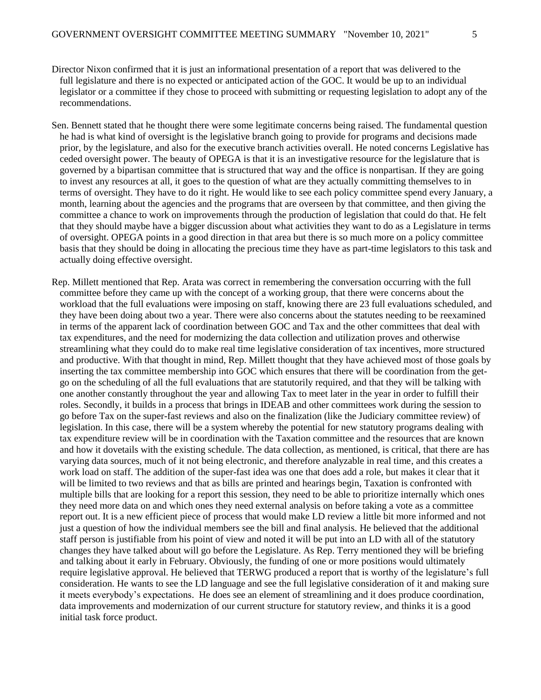- Sen. Bennett stated that he thought there were some legitimate concerns being raised. The fundamental question he had is what kind of oversight is the legislative branch going to provide for programs and decisions made prior, by the legislature, and also for the executive branch activities overall. He noted concerns Legislative has ceded oversight power. The beauty of OPEGA is that it is an investigative resource for the legislature that is governed by a bipartisan committee that is structured that way and the office is nonpartisan. If they are going to invest any resources at all, it goes to the question of what are they actually committing themselves to in terms of oversight. They have to do it right. He would like to see each policy committee spend every January, a month, learning about the agencies and the programs that are overseen by that committee, and then giving the committee a chance to work on improvements through the production of legislation that could do that. He felt that they should maybe have a bigger discussion about what activities they want to do as a Legislature in terms of oversight. OPEGA points in a good direction in that area but there is so much more on a policy committee basis that they should be doing in allocating the precious time they have as part-time legislators to this task and actually doing effective oversight.
- Rep. Millett mentioned that Rep. Arata was correct in remembering the conversation occurring with the full committee before they came up with the concept of a working group, that there were concerns about the workload that the full evaluations were imposing on staff, knowing there are 23 full evaluations scheduled, and they have been doing about two a year. There were also concerns about the statutes needing to be reexamined in terms of the apparent lack of coordination between GOC and Tax and the other committees that deal with tax expenditures, and the need for modernizing the data collection and utilization proves and otherwise streamlining what they could do to make real time legislative consideration of tax incentives, more structured and productive. With that thought in mind, Rep. Millett thought that they have achieved most of those goals by inserting the tax committee membership into GOC which ensures that there will be coordination from the getgo on the scheduling of all the full evaluations that are statutorily required, and that they will be talking with one another constantly throughout the year and allowing Tax to meet later in the year in order to fulfill their roles. Secondly, it builds in a process that brings in IDEAB and other committees work during the session to go before Tax on the super-fast reviews and also on the finalization (like the Judiciary committee review) of legislation. In this case, there will be a system whereby the potential for new statutory programs dealing with tax expenditure review will be in coordination with the Taxation committee and the resources that are known and how it dovetails with the existing schedule. The data collection, as mentioned, is critical, that there are has varying data sources, much of it not being electronic, and therefore analyzable in real time, and this creates a work load on staff. The addition of the super-fast idea was one that does add a role, but makes it clear that it will be limited to two reviews and that as bills are printed and hearings begin, Taxation is confronted with multiple bills that are looking for a report this session, they need to be able to prioritize internally which ones they need more data on and which ones they need external analysis on before taking a vote as a committee report out. It is a new efficient piece of process that would make LD review a little bit more informed and not just a question of how the individual members see the bill and final analysis. He believed that the additional staff person is justifiable from his point of view and noted it will be put into an LD with all of the statutory changes they have talked about will go before the Legislature. As Rep. Terry mentioned they will be briefing and talking about it early in February. Obviously, the funding of one or more positions would ultimately require legislative approval. He believed that TERWG produced a report that is worthy of the legislature's full consideration. He wants to see the LD language and see the full legislative consideration of it and making sure it meets everybody's expectations. He does see an element of streamlining and it does produce coordination, data improvements and modernization of our current structure for statutory review, and thinks it is a good initial task force product.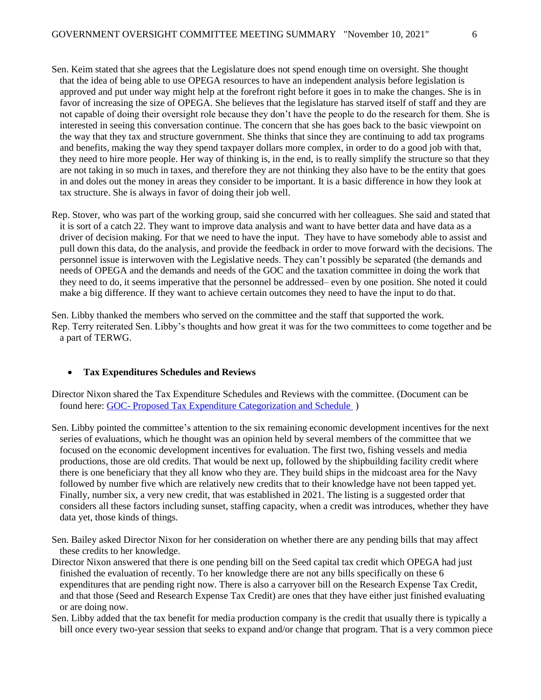- Sen. Keim stated that she agrees that the Legislature does not spend enough time on oversight. She thought that the idea of being able to use OPEGA resources to have an independent analysis before legislation is approved and put under way might help at the forefront right before it goes in to make the changes. She is in favor of increasing the size of OPEGA. She believes that the legislature has starved itself of staff and they are not capable of doing their oversight role because they don't have the people to do the research for them. She is interested in seeing this conversation continue. The concern that she has goes back to the basic viewpoint on the way that they tax and structure government. She thinks that since they are continuing to add tax programs and benefits, making the way they spend taxpayer dollars more complex, in order to do a good job with that, they need to hire more people. Her way of thinking is, in the end, is to really simplify the structure so that they are not taking in so much in taxes, and therefore they are not thinking they also have to be the entity that goes in and doles out the money in areas they consider to be important. It is a basic difference in how they look at tax structure. She is always in favor of doing their job well.
- Rep. Stover, who was part of the working group, said she concurred with her colleagues. She said and stated that it is sort of a catch 22. They want to improve data analysis and want to have better data and have data as a driver of decision making. For that we need to have the input. They have to have somebody able to assist and pull down this data, do the analysis, and provide the feedback in order to move forward with the decisions. The personnel issue is interwoven with the Legislative needs. They can't possibly be separated (the demands and needs of OPEGA and the demands and needs of the GOC and the taxation committee in doing the work that they need to do, it seems imperative that the personnel be addressed– even by one position. She noted it could make a big difference. If they want to achieve certain outcomes they need to have the input to do that.

Sen. Libby thanked the members who served on the committee and the staff that supported the work. Rep. Terry reiterated Sen. Libby's thoughts and how great it was for the two committees to come together and be a part of TERWG.

#### • **Tax Expenditures Schedules and Reviews**

- Director Nixon shared the Tax Expenditure Schedules and Reviews with the committee. (Document can be found here: GOC- [Proposed Tax Expenditure Categorization and Schedule](https://legislature.maine.gov/doc/7918) )
- Sen. Libby pointed the committee's attention to the six remaining economic development incentives for the next series of evaluations, which he thought was an opinion held by several members of the committee that we focused on the economic development incentives for evaluation. The first two, fishing vessels and media productions, those are old credits. That would be next up, followed by the shipbuilding facility credit where there is one beneficiary that they all know who they are. They build ships in the midcoast area for the Navy followed by number five which are relatively new credits that to their knowledge have not been tapped yet. Finally, number six, a very new credit, that was established in 2021. The listing is a suggested order that considers all these factors including sunset, staffing capacity, when a credit was introduces, whether they have data yet, those kinds of things.
- Sen. Bailey asked Director Nixon for her consideration on whether there are any pending bills that may affect these credits to her knowledge.
- Director Nixon answered that there is one pending bill on the Seed capital tax credit which OPEGA had just finished the evaluation of recently. To her knowledge there are not any bills specifically on these 6 expenditures that are pending right now. There is also a carryover bill on the Research Expense Tax Credit, and that those (Seed and Research Expense Tax Credit) are ones that they have either just finished evaluating or are doing now.
- Sen. Libby added that the tax benefit for media production company is the credit that usually there is typically a bill once every two-year session that seeks to expand and/or change that program. That is a very common piece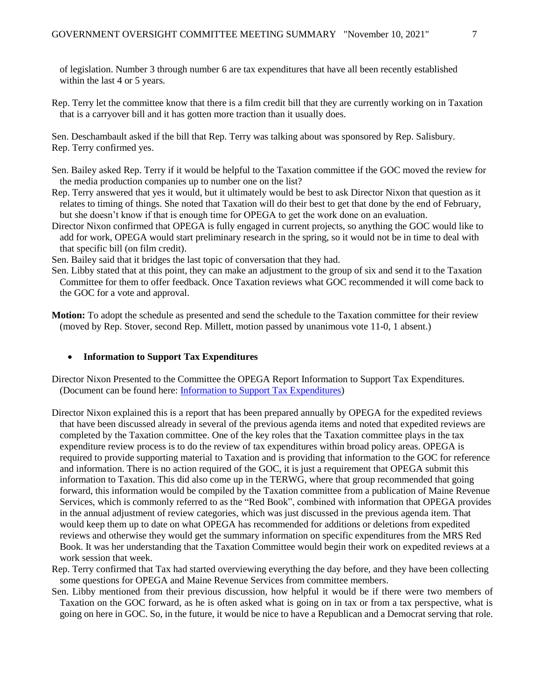of legislation. Number 3 through number 6 are tax expenditures that have all been recently established within the last 4 or 5 years.

Rep. Terry let the committee know that there is a film credit bill that they are currently working on in Taxation that is a carryover bill and it has gotten more traction than it usually does.

Sen. Deschambault asked if the bill that Rep. Terry was talking about was sponsored by Rep. Salisbury. Rep. Terry confirmed yes.

- Sen. Bailey asked Rep. Terry if it would be helpful to the Taxation committee if the GOC moved the review for the media production companies up to number one on the list?
- Rep. Terry answered that yes it would, but it ultimately would be best to ask Director Nixon that question as it relates to timing of things. She noted that Taxation will do their best to get that done by the end of February, but she doesn't know if that is enough time for OPEGA to get the work done on an evaluation.
- Director Nixon confirmed that OPEGA is fully engaged in current projects, so anything the GOC would like to add for work, OPEGA would start preliminary research in the spring, so it would not be in time to deal with that specific bill (on film credit).
- Sen. Bailey said that it bridges the last topic of conversation that they had.
- Sen. Libby stated that at this point, they can make an adjustment to the group of six and send it to the Taxation Committee for them to offer feedback. Once Taxation reviews what GOC recommended it will come back to the GOC for a vote and approval.
- **Motion:** To adopt the schedule as presented and send the schedule to the Taxation committee for their review (moved by Rep. Stover, second Rep. Millett, motion passed by unanimous vote 11-0, 1 absent.)

#### • **Information to Support Tax Expenditures**

Director Nixon Presented to the Committee the OPEGA Report Information to Support Tax Expenditures. (Document can be found here: [Information to Support Tax Expenditures\)](https://legislature.maine.gov/doc/7580)

- Director Nixon explained this is a report that has been prepared annually by OPEGA for the expedited reviews that have been discussed already in several of the previous agenda items and noted that expedited reviews are completed by the Taxation committee. One of the key roles that the Taxation committee plays in the tax expenditure review process is to do the review of tax expenditures within broad policy areas. OPEGA is required to provide supporting material to Taxation and is providing that information to the GOC for reference and information. There is no action required of the GOC, it is just a requirement that OPEGA submit this information to Taxation. This did also come up in the TERWG, where that group recommended that going forward, this information would be compiled by the Taxation committee from a publication of Maine Revenue Services, which is commonly referred to as the "Red Book", combined with information that OPEGA provides in the annual adjustment of review categories, which was just discussed in the previous agenda item. That would keep them up to date on what OPEGA has recommended for additions or deletions from expedited reviews and otherwise they would get the summary information on specific expenditures from the MRS Red Book. It was her understanding that the Taxation Committee would begin their work on expedited reviews at a work session that week.
- Rep. Terry confirmed that Tax had started overviewing everything the day before, and they have been collecting some questions for OPEGA and Maine Revenue Services from committee members.
- Sen. Libby mentioned from their previous discussion, how helpful it would be if there were two members of Taxation on the GOC forward, as he is often asked what is going on in tax or from a tax perspective, what is going on here in GOC. So, in the future, it would be nice to have a Republican and a Democrat serving that role.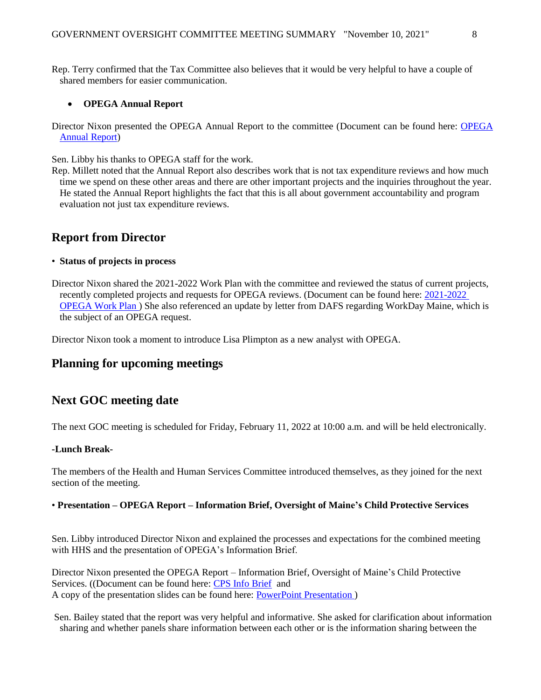Rep. Terry confirmed that the Tax Committee also believes that it would be very helpful to have a couple of shared members for easier communication.

#### • **OPEGA Annual Report**

Director Nixon presented the OPEGA Annual Report to the committee (Document can be found here: [OPEGA](https://legislature.maine.gov/doc/7922)  [Annual Report\)](https://legislature.maine.gov/doc/7922)

Sen. Libby his thanks to OPEGA staff for the work.

Rep. Millett noted that the Annual Report also describes work that is not tax expenditure reviews and how much time we spend on these other areas and there are other important projects and the inquiries throughout the year. He stated the Annual Report highlights the fact that this is all about government accountability and program evaluation not just tax expenditure reviews.

## **Report from Director**

#### • **Status of projects in process**

Director Nixon shared the 2021-2022 Work Plan with the committee and reviewed the status of current projects, recently completed projects and requests for OPEGA reviews. (Document can be found here: [2021-2022](file:///C:/Users/lnixon/AppData/Local/Microsoft/Windows/INetCache/Content.Outlook/HUSS61BW/2021%20-%202022%20OPEGA%20Work%20Plan)  [OPEGA Work Plan \)](file:///C:/Users/lnixon/AppData/Local/Microsoft/Windows/INetCache/Content.Outlook/HUSS61BW/2021%20-%202022%20OPEGA%20Work%20Plan) She also referenced an update by letter from DAFS regarding WorkDay Maine, which is the subject of an OPEGA request.

Director Nixon took a moment to introduce Lisa Plimpton as a new analyst with OPEGA.

### **Planning for upcoming meetings**

### **Next GOC meeting date**

The next GOC meeting is scheduled for Friday, February 11, 2022 at 10:00 a.m. and will be held electronically.

#### **-Lunch Break-**

The members of the Health and Human Services Committee introduced themselves, as they joined for the next section of the meeting.

#### • **Presentation – OPEGA Report – Information Brief, Oversight of Maine's Child Protective Services**

Sen. Libby introduced Director Nixon and explained the processes and expectations for the combined meeting with HHS and the presentation of OPEGA's Information Brief.

Director Nixon presented the OPEGA Report – Information Brief, Oversight of Maine's Child Protective Services. ((Document can be found here: [CPS Info Brief](https://legislature.maine.gov/doc/7924) and A copy of the presentation slides can be found here: [PowerPoint Presentation \)](https://legislature.maine.gov/doc/7925)

Sen. Bailey stated that the report was very helpful and informative. She asked for clarification about information sharing and whether panels share information between each other or is the information sharing between the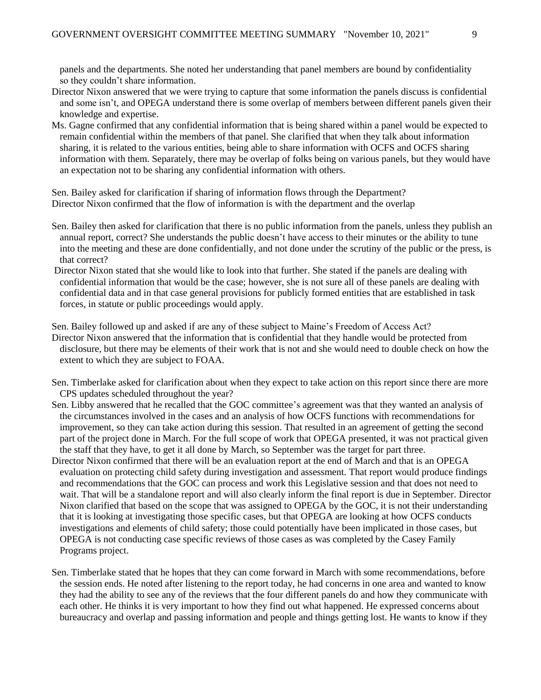panels and the departments. She noted her understanding that panel members are bound by confidentiality so they couldn't share information.

- Director Nixon answered that we were trying to capture that some information the panels discuss is confidential and some isn't, and OPEGA understand there is some overlap of members between different panels given their knowledge and expertise.
- Ms. Gagne confirmed that any confidential information that is being shared within a panel would be expected to remain confidential within the members of that panel. She clarified that when they talk about information sharing, it is related to the various entities, being able to share information with OCFS and OCFS sharing information with them. Separately, there may be overlap of folks being on various panels, but they would have an expectation not to be sharing any confidential information with others.

Sen. Bailey asked for clarification if sharing of information flows through the Department? Director Nixon confirmed that the flow of information is with the department and the overlap

- Sen. Bailey then asked for clarification that there is no public information from the panels, unless they publish an annual report, correct? She understands the public doesn't have access to their minutes or the ability to tune into the meeting and these are done confidentially, and not done under the scrutiny of the public or the press, is that correct?
- Director Nixon stated that she would like to look into that further. She stated if the panels are dealing with confidential information that would be the case; however, she is not sure all of these panels are dealing with confidential data and in that case general provisions for publicly formed entities that are established in task forces, in statute or public proceedings would apply.

Sen. Bailey followed up and asked if are any of these subject to Maine's Freedom of Access Act?

- Director Nixon answered that the information that is confidential that they handle would be protected from disclosure, but there may be elements of their work that is not and she would need to double check on how the extent to which they are subject to FOAA.
- Sen. Timberlake asked for clarification about when they expect to take action on this report since there are more CPS updates scheduled throughout the year?
- Sen. Libby answered that he recalled that the GOC committee's agreement was that they wanted an analysis of the circumstances involved in the cases and an analysis of how OCFS functions with recommendations for improvement, so they can take action during this session. That resulted in an agreement of getting the second part of the project done in March. For the full scope of work that OPEGA presented, it was not practical given the staff that they have, to get it all done by March, so September was the target for part three.
- Director Nixon confirmed that there will be an evaluation report at the end of March and that is an OPEGA evaluation on protecting child safety during investigation and assessment. That report would produce findings and recommendations that the GOC can process and work this Legislative session and that does not need to wait. That will be a standalone report and will also clearly inform the final report is due in September. Director Nixon clarified that based on the scope that was assigned to OPEGA by the GOC, it is not their understanding that it is looking at investigating those specific cases, but that OPEGA are looking at how OCFS conducts investigations and elements of child safety; those could potentially have been implicated in those cases, but OPEGA is not conducting case specific reviews of those cases as was completed by the Casey Family Programs project.
- Sen. Timberlake stated that he hopes that they can come forward in March with some recommendations, before the session ends. He noted after listening to the report today, he had concerns in one area and wanted to know they had the ability to see any of the reviews that the four different panels do and how they communicate with each other. He thinks it is very important to how they find out what happened. He expressed concerns about bureaucracy and overlap and passing information and people and things getting lost. He wants to know if they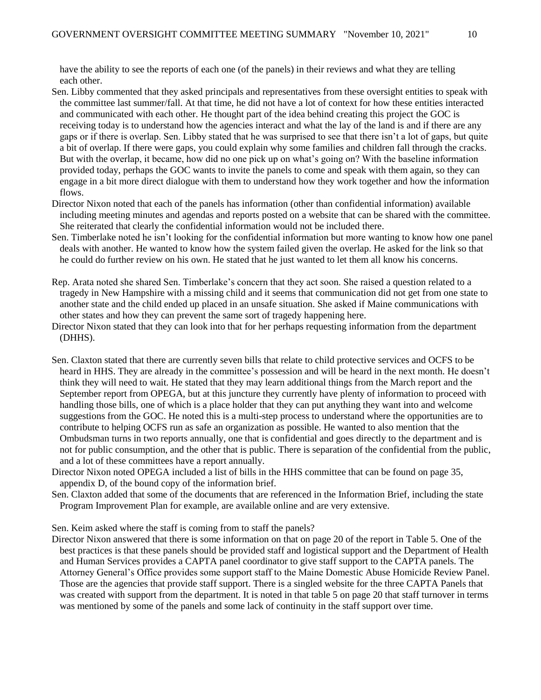have the ability to see the reports of each one (of the panels) in their reviews and what they are telling each other.

- Sen. Libby commented that they asked principals and representatives from these oversight entities to speak with the committee last summer/fall. At that time, he did not have a lot of context for how these entities interacted and communicated with each other. He thought part of the idea behind creating this project the GOC is receiving today is to understand how the agencies interact and what the lay of the land is and if there are any gaps or if there is overlap. Sen. Libby stated that he was surprised to see that there isn't a lot of gaps, but quite a bit of overlap. If there were gaps, you could explain why some families and children fall through the cracks. But with the overlap, it became, how did no one pick up on what's going on? With the baseline information provided today, perhaps the GOC wants to invite the panels to come and speak with them again, so they can engage in a bit more direct dialogue with them to understand how they work together and how the information flows.
- Director Nixon noted that each of the panels has information (other than confidential information) available including meeting minutes and agendas and reports posted on a website that can be shared with the committee. She reiterated that clearly the confidential information would not be included there.
- Sen. Timberlake noted he isn't looking for the confidential information but more wanting to know how one panel deals with another. He wanted to know how the system failed given the overlap. He asked for the link so that he could do further review on his own. He stated that he just wanted to let them all know his concerns.
- Rep. Arata noted she shared Sen. Timberlake's concern that they act soon. She raised a question related to a tragedy in New Hampshire with a missing child and it seems that communication did not get from one state to another state and the child ended up placed in an unsafe situation. She asked if Maine communications with other states and how they can prevent the same sort of tragedy happening here.
- Director Nixon stated that they can look into that for her perhaps requesting information from the department (DHHS).
- Sen. Claxton stated that there are currently seven bills that relate to child protective services and OCFS to be heard in HHS. They are already in the committee's possession and will be heard in the next month. He doesn't think they will need to wait. He stated that they may learn additional things from the March report and the September report from OPEGA, but at this juncture they currently have plenty of information to proceed with handling those bills, one of which is a place holder that they can put anything they want into and welcome suggestions from the GOC. He noted this is a multi-step process to understand where the opportunities are to contribute to helping OCFS run as safe an organization as possible. He wanted to also mention that the Ombudsman turns in two reports annually, one that is confidential and goes directly to the department and is not for public consumption, and the other that is public. There is separation of the confidential from the public, and a lot of these committees have a report annually.
- Director Nixon noted OPEGA included a list of bills in the HHS committee that can be found on page 35, appendix D, of the bound copy of the information brief.
- Sen. Claxton added that some of the documents that are referenced in the Information Brief, including the state Program Improvement Plan for example, are available online and are very extensive.

Sen. Keim asked where the staff is coming from to staff the panels?

Director Nixon answered that there is some information on that on page 20 of the report in Table 5. One of the best practices is that these panels should be provided staff and logistical support and the Department of Health and Human Services provides a CAPTA panel coordinator to give staff support to the CAPTA panels. The Attorney General's Office provides some support staff to the Maine Domestic Abuse Homicide Review Panel. Those are the agencies that provide staff support. There is a singled website for the three CAPTA Panels that was created with support from the department. It is noted in that table 5 on page 20 that staff turnover in terms was mentioned by some of the panels and some lack of continuity in the staff support over time.